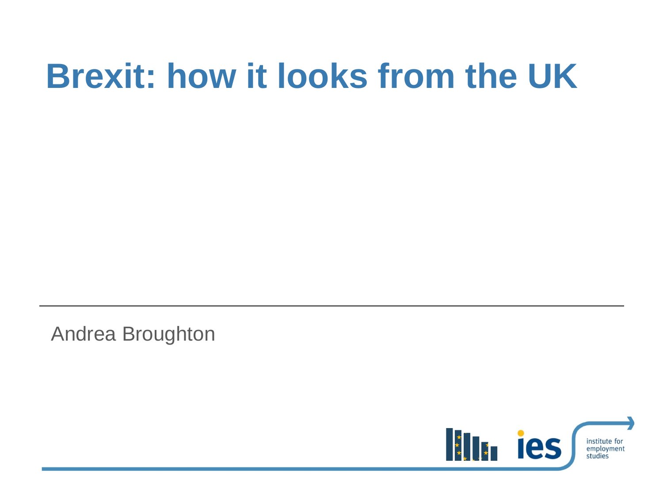# **Brexit: how it looks from the UK**

Andrea Broughton

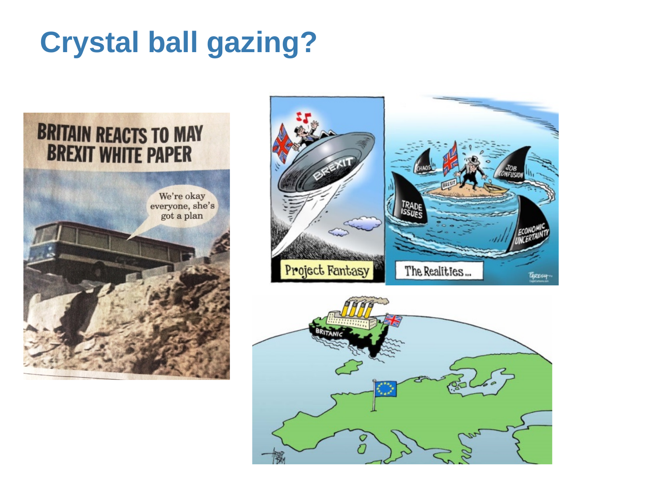# **Crystal ball gazing?**





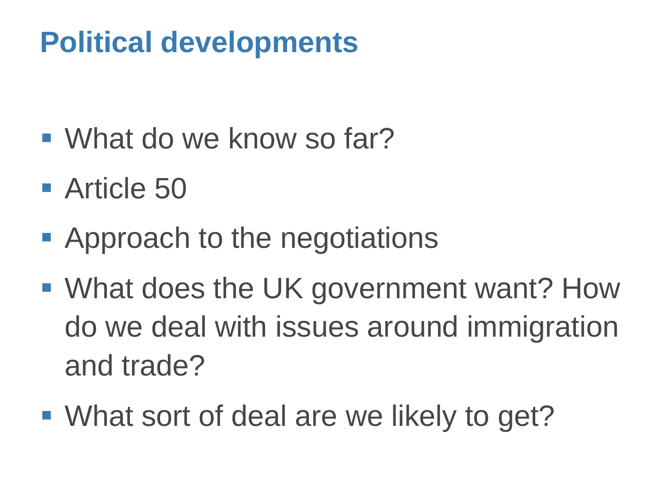# **Political developments**

- What do we know so far?
- **Article 50**
- **Approach to the negotiations**
- What does the UK government want? How do we deal with issues around immigration and trade?
- What sort of deal are we likely to get?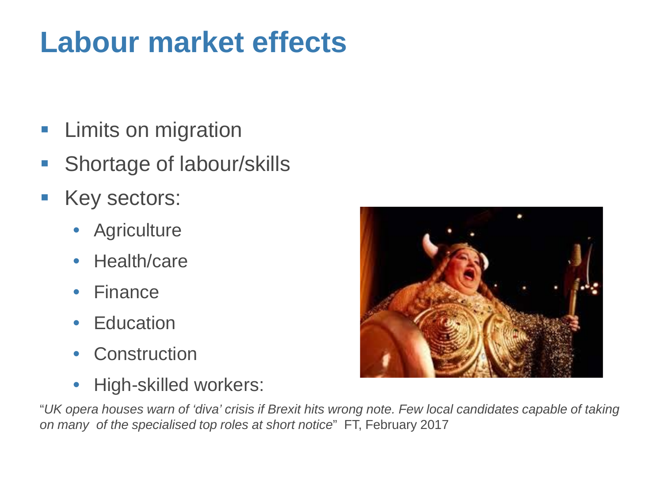# **Labour market effects**

- **Limits on migration**
- **Shortage of labour/skills**
- **Key sectors:** 
	- Agriculture
	- Health/care
	- Finance
	- Education
	- Construction
	- High-skilled workers:



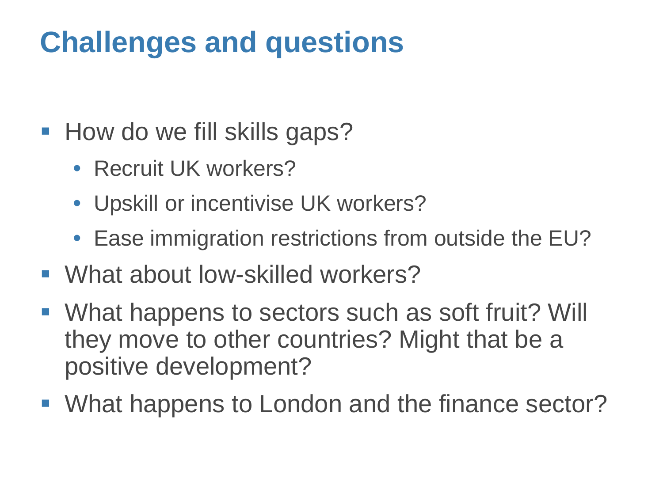# **Challenges and questions**

- How do we fill skills gaps?
	- Recruit UK workers?
	- Upskill or incentivise UK workers?
	- Ease immigration restrictions from outside the EU?
- What about low-skilled workers?
- What happens to sectors such as soft fruit? Will they move to other countries? Might that be a positive development?
- What happens to London and the finance sector?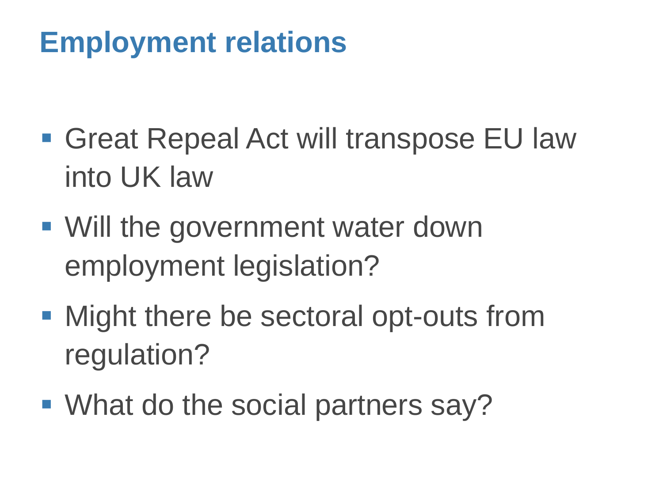# **Employment relations**

- **Great Repeal Act will transpose EU law** into UK law
- Will the government water down employment legislation?
- Might there be sectoral opt-outs from regulation?
- What do the social partners say?